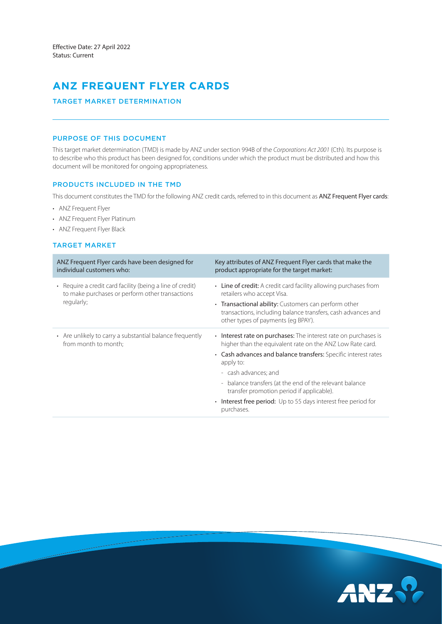# **ANZ FREQUENT FLYER CARDS**

### TARGET MARKET DETERMINATION

### PURPOSE OF THIS DOCUMENT

This target market determination (TMD) is made by ANZ under section 994B of the *Corporations Act 2001* (Cth). Its purpose is to describe who this product has been designed for, conditions under which the product must be distributed and how this document will be monitored for ongoing appropriateness.

### PRODUCTS INCLUDED IN THE TMD

This document constitutes the TMD for the following ANZ credit cards, referred to in this document as ANZ Frequent Flyer cards:

- ANZ Frequent Flyer
- ANZ Frequent Flyer Platinum
- ANZ Frequent Flyer Black

### TARGET MARKET

| ANZ Frequent Flyer cards have been designed for<br>individual customers who:                                                          | Key attributes of ANZ Frequent Flyer cards that make the<br>product appropriate for the target market:                                                                                                                                                                                                                                                                                                                                 |
|---------------------------------------------------------------------------------------------------------------------------------------|----------------------------------------------------------------------------------------------------------------------------------------------------------------------------------------------------------------------------------------------------------------------------------------------------------------------------------------------------------------------------------------------------------------------------------------|
| Require a credit card facility (being a line of credit)<br>$\bullet$<br>to make purchases or perform other transactions<br>regularly; | • Line of credit: A credit card facility allowing purchases from<br>retailers who accept Visa.<br>• Transactional ability: Customers can perform other<br>transactions, including balance transfers, cash advances and<br>other types of payments (eq BPAY).                                                                                                                                                                           |
| • Are unlikely to carry a substantial balance frequently<br>from month to month;                                                      | • Interest rate on purchases: The interest rate on purchases is<br>higher than the equivalent rate on the ANZ Low Rate card.<br>• Cash advances and balance transfers: Specific interest rates<br>apply to:<br>- cash advances; and<br>- balance transfers (at the end of the relevant balance<br>transfer promotion period if applicable).<br>Interest free period: Up to 55 days interest free period for<br>$\bullet$<br>purchases. |

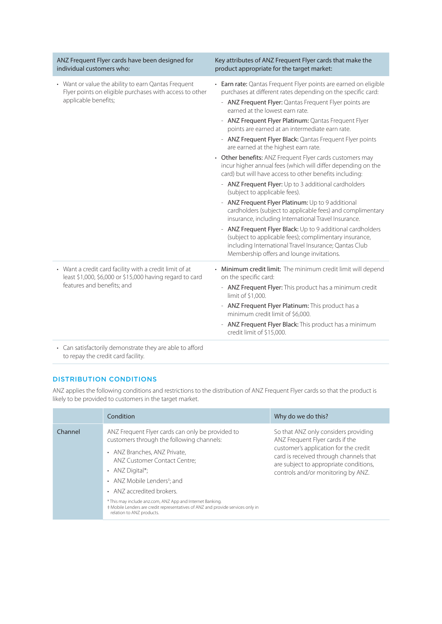| ANZ Frequent Flyer cards have been designed for<br>individual customers who:                                                           | Key attributes of ANZ Frequent Flyer cards that make the<br>product appropriate for the target market:                                                                                                                                                                                                                                                                                                                                                                                                                                                                                                                                                                                                                                                                                                                                                                                                                                                                                                                                                                                   |
|----------------------------------------------------------------------------------------------------------------------------------------|------------------------------------------------------------------------------------------------------------------------------------------------------------------------------------------------------------------------------------------------------------------------------------------------------------------------------------------------------------------------------------------------------------------------------------------------------------------------------------------------------------------------------------------------------------------------------------------------------------------------------------------------------------------------------------------------------------------------------------------------------------------------------------------------------------------------------------------------------------------------------------------------------------------------------------------------------------------------------------------------------------------------------------------------------------------------------------------|
| • Want or value the ability to earn Qantas Frequent<br>Flyer points on eligible purchases with access to other<br>applicable benefits; | • Earn rate: Qantas Frequent Flyer points are earned on eligible<br>purchases at different rates depending on the specific card:<br>- ANZ Frequent Flyer: Qantas Frequent Flyer points are<br>earned at the lowest earn rate.<br>- ANZ Frequent Flyer Platinum: Qantas Frequent Flyer<br>points are earned at an intermediate earn rate.<br>- ANZ Frequent Flyer Black: Qantas Frequent Flyer points<br>are earned at the highest earn rate.<br>• Other benefits: ANZ Frequent Flyer cards customers may<br>incur higher annual fees (which will differ depending on the<br>card) but will have access to other benefits including:<br>- ANZ Frequent Flyer: Up to 3 additional cardholders<br>(subject to applicable fees).<br>- ANZ Frequent Flyer Platinum: Up to 9 additional<br>cardholders (subject to applicable fees) and complimentary<br>insurance, including International Travel Insurance.<br>- ANZ Frequent Flyer Black: Up to 9 additional cardholders<br>(subject to applicable fees); complimentary insurance,<br>including International Travel Insurance; Qantas Club |
| • Want a credit card facility with a credit limit of at                                                                                | Membership offers and lounge invitations.<br>• Minimum credit limit: The minimum credit limit will depend                                                                                                                                                                                                                                                                                                                                                                                                                                                                                                                                                                                                                                                                                                                                                                                                                                                                                                                                                                                |
| least \$1,000, \$6,000 or \$15,000 having regard to card<br>features and benefits; and                                                 | on the specific card:                                                                                                                                                                                                                                                                                                                                                                                                                                                                                                                                                                                                                                                                                                                                                                                                                                                                                                                                                                                                                                                                    |
|                                                                                                                                        | - ANZ Frequent Flyer: This product has a minimum credit<br>limit of \$1,000.                                                                                                                                                                                                                                                                                                                                                                                                                                                                                                                                                                                                                                                                                                                                                                                                                                                                                                                                                                                                             |
|                                                                                                                                        | - ANZ Frequent Flyer Platinum: This product has a<br>minimum credit limit of \$6,000.                                                                                                                                                                                                                                                                                                                                                                                                                                                                                                                                                                                                                                                                                                                                                                                                                                                                                                                                                                                                    |
|                                                                                                                                        | - ANZ Frequent Flyer Black: This product has a minimum<br>credit limit of \$15,000.                                                                                                                                                                                                                                                                                                                                                                                                                                                                                                                                                                                                                                                                                                                                                                                                                                                                                                                                                                                                      |
| • Can satisfactorily demonstrate they are able to afford                                                                               |                                                                                                                                                                                                                                                                                                                                                                                                                                                                                                                                                                                                                                                                                                                                                                                                                                                                                                                                                                                                                                                                                          |

to repay the credit card facility.

## DISTRIBUTION CONDITIONS

ANZ applies the following conditions and restrictions to the distribution of ANZ Frequent Flyer cards so that the product is likely to be provided to customers in the target market.

|         | Condition                                                                                                                                                                                                                                                                                                                                                                                                                             | Why do we do this?                                                                                                                                                                                                                         |
|---------|---------------------------------------------------------------------------------------------------------------------------------------------------------------------------------------------------------------------------------------------------------------------------------------------------------------------------------------------------------------------------------------------------------------------------------------|--------------------------------------------------------------------------------------------------------------------------------------------------------------------------------------------------------------------------------------------|
| Channel | ANZ Frequent Flyer cards can only be provided to<br>customers through the following channels:<br>• ANZ Branches, ANZ Private,<br>ANZ Customer Contact Centre:<br>• ANZ Digital*;<br>• ANZ Mobile Lenders <sup>‡</sup> ; and<br>• ANZ accredited brokers.<br>* This may include anz.com, ANZ App and Internet Banking.<br># Mobile Lenders are credit representatives of ANZ and provide services only in<br>relation to ANZ products. | So that ANZ only considers providing<br>ANZ Frequent Flyer cards if the<br>customer's application for the credit<br>card is received through channels that<br>are subject to appropriate conditions,<br>controls and/or monitoring by ANZ. |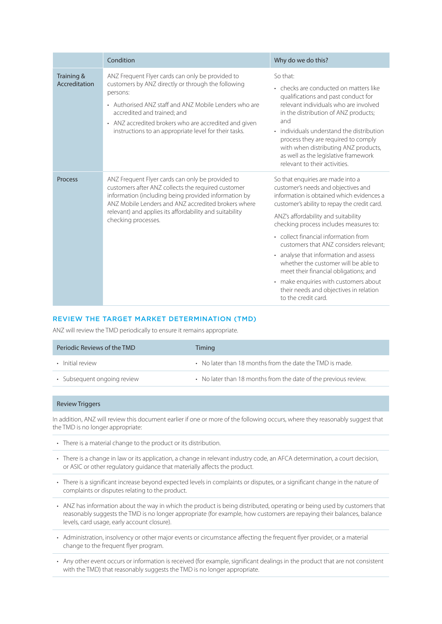|                             | Condition                                                                                                                                                                                                                                                                                                                    | Why do we do this?                                                                                                                                                                                                                                                                                                                                                                                                                                                                                                                                                           |
|-----------------------------|------------------------------------------------------------------------------------------------------------------------------------------------------------------------------------------------------------------------------------------------------------------------------------------------------------------------------|------------------------------------------------------------------------------------------------------------------------------------------------------------------------------------------------------------------------------------------------------------------------------------------------------------------------------------------------------------------------------------------------------------------------------------------------------------------------------------------------------------------------------------------------------------------------------|
| Training &<br>Accreditation | ANZ Frequent Flyer cards can only be provided to<br>customers by ANZ directly or through the following<br>persons:<br>• Authorised ANZ staff and ANZ Mobile Lenders who are<br>accredited and trained: and<br>• ANZ accredited brokers who are accredited and given<br>instructions to an appropriate level for their tasks. | So that:<br>• checks are conducted on matters like<br>qualifications and past conduct for<br>relevant individuals who are involved<br>in the distribution of ANZ products;<br>and<br>• individuals understand the distribution<br>process they are required to comply<br>with when distributing ANZ products,<br>as well as the legislative framework<br>relevant to their activities.                                                                                                                                                                                       |
| Process                     | ANZ Frequent Flyer cards can only be provided to<br>customers after ANZ collects the required customer<br>information (including being provided information by<br>ANZ Mobile Lenders and ANZ accredited brokers where<br>relevant) and applies its affordability and suitability<br>checking processes.                      | So that enquiries are made into a<br>customer's needs and objectives and<br>information is obtained which evidences a<br>customer's ability to repay the credit card.<br>ANZ's affordability and suitability<br>checking process includes measures to:<br>• collect financial information from<br>customers that ANZ considers relevant:<br>• analyse that information and assess<br>whether the customer will be able to<br>meet their financial obligations; and<br>• make enquiries with customers about<br>their needs and objectives in relation<br>to the credit card. |

### REVIEW THE TARGET MARKET DETERMINATION (TMD)

ANZ will review the TMD periodically to ensure it remains appropriate.

| Periodic Reviews of the TMD | Timing                                                          |
|-----------------------------|-----------------------------------------------------------------|
| • Initial review            | • No later than 18 months from the date the TMD is made.        |
| • Subsequent ongoing review | • No later than 18 months from the date of the previous review. |

#### Review Triggers

In addition, ANZ will review this document earlier if one or more of the following occurs, where they reasonably suggest that the TMD is no longer appropriate:

- There is a material change to the product or its distribution.
- There is a change in law or its application, a change in relevant industry code, an AFCA determination, a court decision, or ASIC or other regulatory guidance that materially affects the product.
- There is a significant increase beyond expected levels in complaints or disputes, or a significant change in the nature of complaints or disputes relating to the product.
- ANZ has information about the way in which the product is being distributed, operating or being used by customers that reasonably suggests the TMD is no longer appropriate (for example, how customers are repaying their balances, balance levels, card usage, early account closure).
- Administration, insolvency or other major events or circumstance affecting the frequent flyer provider, or a material change to the frequent flyer program.
- Any other event occurs or information is received (for example, significant dealings in the product that are not consistent with the TMD) that reasonably suggests the TMD is no longer appropriate.